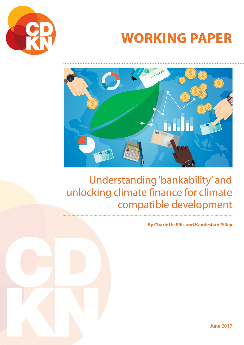

# **WORKING PAPER**



## Understanding 'bankability' and unlocking climate finance for climate compatible development

**By Charlotte Ellis and Kamleshan Pillay**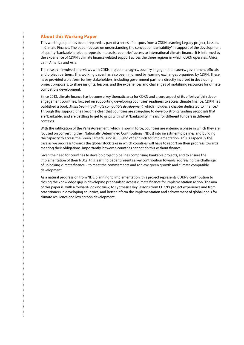#### **About this Working Paper**

This working paper has been prepared as part of a series of outputs from a CDKN Learning Legacy project, Lessons in Climate Finance. The paper focuses on understanding the concept of 'bankability' in support of the development of quality 'bankable' project proposals – to assist countries' access to international climate finance. It is informed by the experience of CDKN's climate finance-related support across the three regions in which CDKN operates: Africa, Latin America and Asia.

The research involved interviews with CDKN project managers, country engagement leaders, government officials and project partners. This working paper has also been informed by learning exchanges organised by CDKN. These have provided a platform for key stakeholders, including government partners directly involved in developing project proposals, to share insights, lessons, and the experiences and challenges of mobilising resources for climate compatible development.

Since 2013, climate finance has become a key thematic area for CDKN and a core aspect of its efforts within deepengagement countries, focused on supporting developing countries' readiness to access climate finance. CDKN has published a book, *Mainstreaming climate compatible development*, which includes a chapter dedicated to finance.<sup>1</sup> Through this support it has become clear that countries are struggling to develop strong funding proposals that are 'bankable', and are battling to get to grips with what 'bankability' means for different funders in different contexts.

With the ratification of the Paris Agreement, which is now in force, countries are entering a phase in which they are focused on converting their Nationally Determined Contributions (NDCs) into investment pipelines and building the capacity to access the Green Climate Fund (GCF) and other funds for implementation. This is especially the case as we progress towards the global stock take in which countries will have to report on their progress towards meeting their obligations. Importantly, however, countries cannot do this without finance.

Given the need for countries to develop project pipelines comprising bankable projects, and to ensure the implementation of their NDCs, this learning paper presents a key contribution towards addressing the challenge of unlocking climate finance – to meet the commitments and achieve green growth and climate compatible development.

As a natural progression from NDC planning to implementation, this project represents CDKN's contribution to closing the knowledge gap in developing proposals to access climate finance for implementation action. The aim of this paper is, with a forward-looking view, to synthesise key lessons from CDKN's project experience and from practitioners in developing countries, and better inform the implementation and achievement of global goals for climate resilience and low carbon development.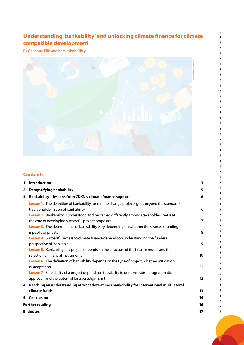### **Understanding 'bankability' and unlocking climate finance for climate compatible development**

By Charlotte Ellis and Kamleshan Pillay



#### **Contents**

|                        | 1. Introduction                                                                                                                                                                                                                       | 3              |  |
|------------------------|---------------------------------------------------------------------------------------------------------------------------------------------------------------------------------------------------------------------------------------|----------------|--|
|                        | 2. Demystifying bankability                                                                                                                                                                                                           | 5              |  |
|                        | 3. Bankability - lessons from CDKN's climate finance support                                                                                                                                                                          | 6              |  |
|                        | Lesson 1. The definition of bankability for climate change projects goes beyond the standard/<br>traditional definition of bankability<br>Lesson 2. Bankability is understood and perceived differently among stakeholders, yet is at | 6              |  |
|                        | the core of developing successful project proposals                                                                                                                                                                                   | $\overline{7}$ |  |
|                        | Lesson 3. The determinants of bankability vary depending on whether the source of funding<br>is public or private                                                                                                                     | 8              |  |
|                        | Lesson 4. Successful access to climate finance depends on understanding the funder's<br>perspective of 'bankable'                                                                                                                     | 9              |  |
|                        | Lesson 5. Bankability of a project depends on the structure of the finance model and the<br>selection of financial instruments                                                                                                        | 10             |  |
|                        | Lesson 6. The definition of bankability depends on the type of project, whether mitigation<br>or adaptation                                                                                                                           | 11             |  |
|                        | Lesson 7. Bankability of a project depends on the ability to demonstrate a programmatic<br>approach and the potential for a paradigm shift                                                                                            | 12             |  |
|                        | 4. Reaching an understanding of what determines bankability for international multilateral<br>climate funds                                                                                                                           | 13             |  |
|                        | 5. Conclusion                                                                                                                                                                                                                         | 14             |  |
| <b>Further reading</b> |                                                                                                                                                                                                                                       |                |  |
|                        | <b>Endnotes</b>                                                                                                                                                                                                                       |                |  |
|                        |                                                                                                                                                                                                                                       |                |  |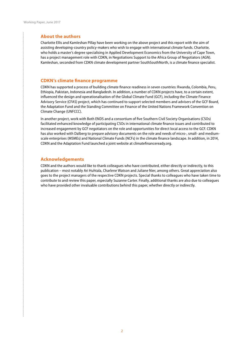$\vdots$ 

#### **About the authors**

Charlotte Ellis and Kamleshan Pillay have been working on the above project and this report with the aim of assisting developing-country policy-makers who wish to engage with international climate funds. Charlotte, who holds a master's degree specialising in Applied Development Economics from the University of Cape Town, has a project management role with CDKN, in Negotiations Support to the Africa Group of Negotiators (AGN). Kamleshan, seconded from CDKN climate development partner SouthSouthNorth, is a climate finance specialist.

#### **CDKN's climate finance programme**

CDKN has supported a process of building climate finance readiness in seven countries: Rwanda, Colombia, Peru, Ethiopia, Pakistan, Indonesia and Bangladesh. In addition, a number of CDKN projects have, to a certain extent, influenced the design and operationalisation of the Global Climate Fund (GCF), including the Climate Finance Advisory Service (CFAS) project, which has continued to support selected members and advisers of the GCF Board, the Adaptation Fund and the Standing Committee on Finance of the United Nations Framework Convention on Climate Change (UNFCCC).

In another project, work with Both ENDS and a consortium of five Southern Civil Society Organisations (CSOs) facilitated enhanced knowledge of participating CSOs in international climate finance issues and contributed to increased engagement by GCF negotiators on the role and opportunities for direct local access to the GCF. CDKN has also worked with Dalberg to prepare advisory documents on the role and needs of micro-, small- and mediumscale enterprises (MSMEs) and National Climate Funds (NCFs) in the climate finance landscape. In addition, in 2014, CDKN and the Adaptation Fund launched a joint website at [climatefinanceready.org.](http://climatefinanceready.org)

#### **Acknowledgements**

CDKN and the authors would like to thank colleagues who have contributed, either directly or indirectly, to this publication – most notably Ari Huhtala, Charlene Watson and Juliane Nier, among others. Great appreciation also goes to the project managers of the respective CDKN projects. Special thanks to colleagues who have taken time to contribute to and review this paper, especially Suzanne Carter. Finally, additional thanks are also due to colleagues who have provided other invaluable contributions behind this paper, whether directly or indirectly.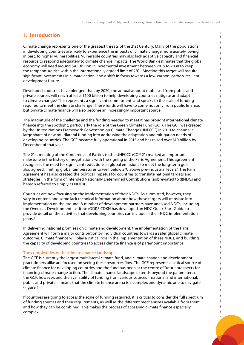#### <span id="page-4-0"></span>**1. Introduction**

Climate change represents one of the greatest threats of the 21st Century. Many of the populations in developing countries are likely to experience the impacts of climate change more acutely, owing, in part, to higher vulnerabilities. Vulnerable countries may also lack adaptive capacity and financial resource to respond adequately to climate change impacts. The World Bank estimates that the global economy will need around \$4.1 trillion in incremental investment between 2015 to 2030 to keep the temperature rise within the internationally agreed limit of 2°C.<sup>2</sup> Meeting this target will require significant investments in climate action, and a shift in focus towards a low-carbon, carbon-resilient development future.

Developed countries have pledged that, by 2020, the annual amount mobilised from public and private sources will reach at least \$100 billion to help developing countries mitigate and adapt to climate change.<sup>3</sup> This represents a significant commitment, and speaks to the scale of funding required to meet the climate challenge. These funds will have to come not only from public finance, but private climate finance will also become an increasingly important source.

The magnitude of the challenge and the funding needed to meet it has brought international climate finance into the spotlight, particularly the role of the Green Climate Fund (GCF). The GCF was created by the United Nations Framework Convention on Climate Change (UNFCCC) in 2010 to channel a large share of new multilateral funding into addressing the adaptation and mitigation needs of developing countries. The GCF became fully operational in 2015 and has raised over \$10 billion by December of that year.

The 21st meeting of the Conference of Parties to the UNFCCC (COP 21) marked an important milestone in the history of negotiations with the signing of the Paris Agreement. This agreement recognises the need for significant reductions in global emissions to meet the long-term goal also agreed: limiting global temperatures to well below 2°C above pre-industrial levels.<sup>4</sup> The Paris Agreement has also created the political impetus for countries to translate national targets and strategies, in the form of Intended Nationally Determined Contributions (abbreviated to (I)NDCs and hereon referred to simply as NDCs).

Countries are now focusing on the implementation of their NDCs. As submitted, however, they vary in content, and some lack technical information about how these targets will translate into implementation on the ground. A number of development partners have analysed NDCs, including the Overseas Development Institute (ODI).<sup>5</sup> CDKN has developed an NDC Quick Start Guide to provide detail on the activities that developing countries can include in their NDC implementation plans.6

In delivering national promises on climate and development, the implementation of the Paris Agreement will form a major contribution by individual countries towards a safer global climate outcome. Climate finance will play a critical role in the implementation of these NDCs, and building the capacity of developing countries to access climate finance is of paramount importance.

#### The complexities of the climate finance landscape

The GCF is currently the largest multilateral climate fund, and climate change and development practitioners alike are focused on seeing these resources flow. The GCF represents a critical source of climate finance for developing countries and the fund has been at the centre of future prospects for financing climate change action. The climate finance landscape extends beyond the parameters of the GCF, however, and the availability of funding from various sources – national and international, public and private – means that the climate finance arena is a complex and dynamic one to navigate (Figure 1).

If countries are going to access the scale of funding required, it is critical to consider the full spectrum of funding sources and their requirements, as well as the different mechanisms available from them, and how they can be combined. This makes the process of accessing climate finance especially complex.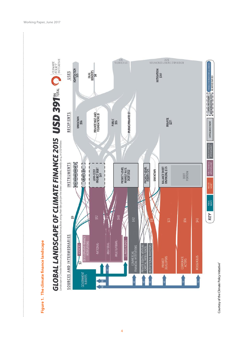

 $\mu$ 



4

Courtesy of the Climate Policy Initiative<sup>7</sup> Courtesy of the Climate Policy Initiative<sup>7</sup>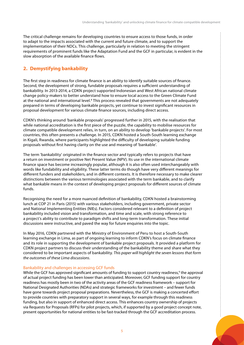<span id="page-6-0"></span>The critical challenge remains for developing countries to ensure access to those funds, in order to adapt to the impacts associated with the current and future climate, and to support the implementation of their NDCs. This challenge, particularly in relation to meeting the stringent requirements of prominent funds like the Adaptation Fund and the GCF in particular, is evident in the slow absorption of the available finance flows.

#### **2. Demystifying bankability**

The first step in readiness for climate finance is an ability to identify suitable sources of finance. Second, the development of strong, fundable proposals requires a sufficient understanding of bankability. In 2013-2014, a CDKN project supported Indonesian and West African national climate change policy-makers to better understand how to ensure local access to the Green Climate Fund at the national and international level.<sup>8</sup> This process revealed that governments are not adequately prepared in terms of developing bankable projects, yet continue to invest significant resources in proposal development for various climate finance sources, including direct access.

CDKN's thinking around 'bankable proposals' progressed further in 2015, with the realisation that while national accreditation is the first piece of the puzzle, the capability to mobilise resources for climate compatible development relies, in turn, on an ability to develop 'bankable projects'. For most countries, this often presents a challenge. In 2015, CDKN hosted a South-South learning exchange in Kigali, Rwanda, where participants highlighted the difficulty of developing suitable funding proposals without first having clarity on the use and meaning of 'bankable'.

The term 'bankability' originated in the finance sector and typically refers to projects that have a return on investment or positive Net Present Value (NPV). Its use in the international climate finance space has become increasingly popular, although it is also often used interchangeably with words like fundability and eligibility. These latter terms do though have very different meanings for different funders and stakeholders, and in different contexts. It is therefore necessary to make clearer distinctions between the various terminologies associated with the term bankable, and to clarify what bankable means in the context of developing project proposals for different sources of climate funds.

Recognising the need for a more nuanced definition of bankability, CDKN hosted a brainstorming lunch at COP 21 in Paris (2015) with various stakeholders, including government, private sector and National Implementing Entities (NIEs). Factors considered relevant to a definition of project bankability included vision and transformation, and time and scale, with strong reference to a project's ability to contribute to paradigm shifts and long-term transformation. These initial discussions were instructive, and paved the way for future enquiries into the topic.

In May 2016, CDKN partnered with the Ministry of Environment of Peru to host a South-South learning exchange in Lima, as part of ongoing learning to inform CDKN's focus on climate finance and its role in supporting the development of bankable project proposals. It provided a platform for CDKN project partners to discuss their understanding of the bankability theme and share what they considered to be important aspects of bankability. *This paper will highlight the seven lessons that form the outcomes of these Lima discussions*.

#### Bankability and challenges in accessing GCF funds

While the GCF has approved significant amounts of funding to support country readiness,<sup>9</sup> the approval of actual project funding has been lower than anticipated. Moreover, GCF funding support for country readiness has mostly been in two of the activity areas of the GCF readiness framework – support for National Designated Authorities (NDAs) and strategic frameworks for investment – and fewer funds have gone towards project proposal preparations. Nevertheless, the GCF is making a concerted effort to provide countries with preparatory support in several ways, for example through this readiness funding, but also in support of enhanced direct access. This enhances country ownership of projects via Requests for Proposals (RFPs) for pilot projects, which, if supported by a good project concept note, present opportunities for national entities to be fast-tracked through the GCF accreditation process.

÷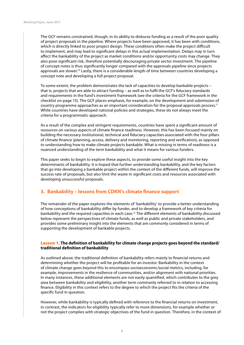$\vdots$ 

<span id="page-7-0"></span>The GCF remains constrained, though, in its ability to disburse funding as a result of the poor quality of project proposals in the pipeline. Where projects have been approved, it has been with conditions, which is directly linked to poor project design. These conditions often make the project difficult to implement, and may lead to significant delays in this actual implementation. Delays may in turn affect the bankability of the project as market conditions and/or opportunity costs may change. They also pose significant risk, therefore potentially discouraging private sector investment. The pipeline of concept notes is thus significantly longer compared with the approvals pipeline since projects approvals are slower.<sup>10</sup> Lastly, there is a considerable length of time between countries developing a concept note and developing a full project proposal.

To some extent, the problem demonstrates the lack of capacities to develop bankable projects – that is, projects that are able to attract funding – as well as to fulfil the GCF's fiduciary standards and requirements in the fund's investment framework (see the criteria for the GCF framework in the checklist on page 15). The GCF places emphasis, for example, on the development and submission of country programme approaches as an important consideration for the proposal approvals process.<sup>11</sup> While countries have developed national policies and strategies, these do not always meet the criteria for a programmatic approach.

As a result of the complex and stringent requirements, countries have spent a significant amount of resources on various aspects of climate finance readiness. However, this has been focused mainly on building the necessary institutional, technical and fiduciary capacities associated with the four pillars of climate finance (planning, access, delivery and monitoring, reporting and verification), as opposed to understanding how to make climate projects bankable. What is missing in terms of readiness is a nuanced understanding of the term bankability and what it means for various funders.

This paper seeks to begin to explore these aspects, to provide some useful insight into the key determinants of bankability. It is hoped that further understanding bankability, and the key factors that go into developing a bankable project within the context of the different funds, will improve the success rate of proposals, but also limit the waste in significant costs and resources associated with developing unsuccessful proposals.

#### **3. Bankability – lessons from CDKN's climate finance support**

The remainder of the paper explores the elements of 'bankability' to provide a better understanding of how conceptions of bankability differ by funder, and to develop a framework of key criteria for bankability and the required capacities in each case.<sup>12</sup> The different elements of bankability discussed below represent the perspectives of climate funds, as well as public and private stakeholders, and provides some preliminary insight into the elements that are commonly considered in terms of supporting the development of bankable projects.

#### Lesson 1. **The definition of bankability for climate change projects goes beyond the standard/ traditional definition of bankability**

As outlined above, the traditional definition of bankability refers mainly to financial returns and determining whether the project will be profitable for an investor. Bankability in the context of climate change goes beyond this to encompass socioeconomic/social metrics, including, for example, improvements in the resilience of communities, and/or alignment with national priorities. In many instances, these additional elements are not easily quantified, which contributes to the grey area between bankability and eligibility, another term commonly referred to in relation to accessing finance. Eligibility in this context refers to the degree to which the project fits the criteria of the specific fund in question.

However, while bankability is typically defined with reference to the financial returns on investment, in contrast, the indicators for eligibility typically refer to more dimensions, for example whether or not the project complies with strategic objectives of the fund in question. Therefore, in the context of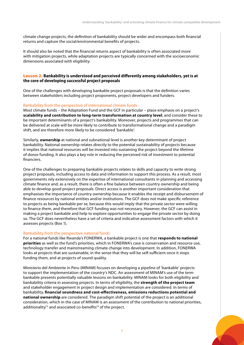<span id="page-8-0"></span>climate change projects, the definition of bankability should be wider and encompass both financial returns and capture the social/environmental benefits of projects.

It should also be noted that the financial returns aspect of bankability is often associated more with mitigation projects, while adaptation projects are typically concerned with the socioeconomic dimensions associated with eligibility.

#### Lesson 2. **Bankability is understood and perceived differently among stakeholders, yet is at the core of developing successful project proposals**

One of the challenges with developing bankable project proposals is that the definition varies between stakeholders including project proponents, project developers and funders.

#### Bankability from the perspective of international climate funds

Most climate funds – the Adaptation Fund and the GCF in particular – place emphasis on a project's **scalability and contribution to long-term transformation at country level**, and consider these to be important determinants of a project's bankability. Moreover, projects and programmes that can be delivered at scale will be more likely to contribute to transformational change and a paradigm shift, and are therefore more likely to be considered 'bankable'.

Similarly, **ownership** at national and subnational level is another key determinant of project bankability. National ownership relates directly to the potential sustainability of projects because it implies that national resources will be invested into sustaining the project beyond the lifetime of donor funding. It also plays a key role in reducing the perceived risk of investment to potential financiers.

One of the challenges to preparing bankable projects relates to skills and capacity to write strong project proposals, including access to data and information to support this process. As a result, most governments rely extensively on the expertise of international consultants in planning and accessing climate finance and, as a result, there is often a fine balance between country ownership and being able to develop good project proposals. Direct access is another important consideration that emphasises the importance of country ownership because it enables the receipt and disbursement of finance resources by national entities and/or institutions. The GCF does not make specific reference to projects as being bankable per se, because this would imply that the private sector were willing to finance them, and therefore that GCF funding was not necessary. However, the GCF can assist in making a project bankable and help to explore opportunities to engage the private sector by doing so. The GCF does nevertheless have a set of criteria and indicative assessment factors with which it assesses projects (Box 1).

#### Bankability from the perspective national funds

For a national funds like Rwanda's FONERWA, a bankable project is one that **responds to national priorities** as well as the fund's priorities, which in FONERWA's case is conservation and resource use, technology transfer and mainstreaming climate change into development. In addition, FONERWA looks at projects that are sustainable, in the sense that they will be self-sufficient once it stops funding them, and at projects of sound quality.

Ministerio del Ambiente in Peru (MINAM) focuses on developing a pipeline of 'bankable' projects to support the implementation of the country's NDC. An assessment of MINAM's use of the term bankable presents potentially valuable lessons on bankability. MINAM looks for both eligibility and bankability criteria in assessing projects. In terms of eligibility, the **strength of the project team** and stakeholder engagement in project design and implementation are considered. In terms of bankability, **financial soundness and cost-effectiveness, emissions reductions potential and national ownership** are considered. The paradigm shift potential of the project is an additional consideration, which in the case of MINAM is an assessment of the contribution to national priorities, additionality<sup>13</sup> and associated co-benefits<sup>14</sup> of the project.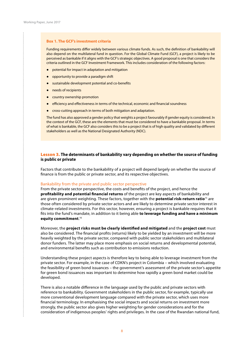#### <span id="page-9-0"></span>**Box 1. The GCF's investment criteria**

Funding requirements differ widely between various climate funds. As such, the definition of bankability will also depend on the multilateral fund in question. For the Global Climate Fund (GCF), a project is likely to be perceived as bankable if it aligns with the GCF's strategic objectives. A good proposal is one that considers the criteria outlined in the GCF Investment Framework. This includes consideration of the following factors:

- potential for impact in adaptation and mitigation
- opportunity to provide a paradigm shift
- sustainable development potential and co-benefits
- needs of recipients
- country ownership promotion
- efficiency and effectiveness in terms of the technical, economic and financial soundness
- cross-cutting approach in terms of both mitigation and adaptation.

The fund has also approved a gender policy that weights a project favourably if gender equity is considered. In the context of the GCF, these are the elements that must be considered to have a bankable proposal. In terms of what is bankable, the GCF also considers this to be a project that is of high quality and validated by different stakeholders as well as the National Designated Authority (NDC).

#### Lesson 3. **The determinants of bankability vary depending on whether the source of funding is public or private**

Factors that contribute to the bankability of a project will depend largely on whether the source of finance is from the public or private sector, and its respective objectives.

#### Bankability from the private and public sector perspective

From the private sector perspective, the costs and benefits of the project, and hence the **profitability and potential financial returns** of the project are key aspects of bankability and are given prominent weighting. These factors, together with the **potential risk-return ratio**15 are those often considered by private sector actors and are likely to determine private sector interest in climate-related investments. For this sector, however, ensuring a project is bankable requires that it fits into the fund's mandate, in addition to it being able **to leverage funding and have a minimum equity commitment**. 16

Moreover, the **project risks must be clearly identified and mitigated** and the **project cost** must also be considered. The financial profits (returns) likely to be yielded by an investment will be more heavily weighted by the private sector, compared with public sector stakeholders and multilateral donor funders. The latter may place more emphasis on social returns and developmental potential, and environmental benefits such as contribution to emissions reduction.

Understanding these project aspects is therefore key to being able to leverage investment from the private sector. For example, in the case of CDKN's project in Colombia – which involved evaluating the feasibility of green bond issuances – the government's assessment of the private sector's appetite for green bond issuances was important to determine how rapidly a green bond market could be developed.

There is also a notable difference in the language used by the public and private sectors with reference to bankability. Government stakeholders in the public sector, for example, typically use more conventional development language compared with the private sector, which uses more financial terminology. In emphasising the social impacts and social returns on investment more strongly, the public sector also gives higher weighting for gender considerations and for the consideration of indigenous peoples' rights and privileges. In the case of the Rwandan national fund,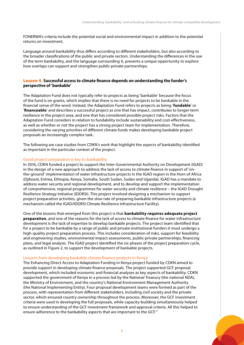<span id="page-10-0"></span>FONERWA's criteria include the potential social and environmental impact in addition to the potential returns on investment.

Language around bankability thus differs according to different stakeholders, but also according to the broader classifications of the public and private sectors. Understanding the differences in the use of the term bankability, and the language surrounding it, presents a unique opportunity to explore how overlaps can support and strengthen public-private partnerships.

#### Lesson 4. **Successful access to climate finance depends on understanding the funder's perspective of 'bankable'**

The Adaptation Fund does not typically refer to projects as being 'bankable' because the focus of the fund is on grants, which implies that there is no need for projects to be bankable in the financial sense of the word. Instead, the Adaptation Fund refers to projects as being '**fundable**' or '**financeable**' and describes a successful project as one that has impact, contributes to longer-term resilience in the project area, and one that has considered possible project risks. Factors that the Adaptation Fund considers in relation to fundability include sustainability and cost-effectiveness, as well as whether or not the project has a strong project team for implementation. Therefore, considering the varying priorities of different climate funds makes developing bankable project proposals an increasingly complex task.

The following are case studies from CDKN's work that highlight the aspects of bankability identified as important in the particular context of the project.

#### Good project preparation is key to bankability

In 2016, CDKN funded a project to support the Inter-Governmental Authority on Development (IGAD) in the design of a new approach to address the lack of access to climate finance in support of 'onthe-ground' implementation of water infrastructure projects in the IGAD region in the Horn of Africa (Djibouti, Eritrea, Ethiopia, Kenya, Somalia, South Sudan, Sudan and Uganda). IGAD has a mandate to address water security and regional development, and to develop and support the implementation of comprehensive, regional programmes for water security and climate resilience – the IGAD Drought Resilience Strategy Initiative (IDDRSI). This project involved designing a mechanism to support project preparation activities, given the slow rate of preparing bankable infrastructure projects (a mechanism called the IGAD/IDDRSI Climate Resilience Infrastructure Facility).

One of the lessons that emerged from this project is that **bankability requires adequate project preparation**, and one of the reasons for the lack of access to climate finance for water infrastructure development is the lack of expertise to develop bankable projects. The project team identified that for a project to be bankable by a range of public and private institutional funders it must undergo a high-quality project preparation process. This includes consideration of risks, support for feasibility and engineering studies, environmental impact assessments, public-private partnerships, financing plans, and legal analysis. The IGAD project identified the six phases of the project preparation cycle, as outlined in Figure 2, to support the development of bankable projects.

#### Lessons from developing bankable climate finance projects in Kenya

The Enhancing Direct Access to Adaptation Funding in Kenya project funded by CDKN aimed to provide support in developing climate finance proposals. The project supported GCF proposal development, which included economic and financial analyses as key aspects of bankability. CDKN supported the government of Kenya in a process led by the National Treasury (the national NDA), the Ministry of Environment, and the country's National Environment Management Authority (the National Implementing Entity). Four proposal development teams were formed as part of the process, with representation from different stakeholders, including civil society and the private sector, which ensured country ownership throughout the process. Moreover, the GCF investment criteria were used in developing the full proposals, while capacity-building simultaneously helped to ensure understanding of the GCF investment framework and approval criteria. All this helped to ensure adherence to the bankability aspects that are important to the GCF.<sup>17</sup>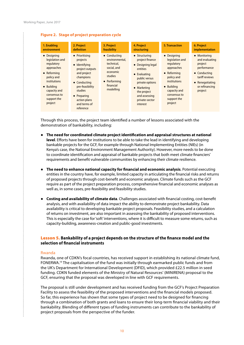#### <span id="page-11-0"></span>**Figure 2. Stage of project preparation cycle**

| 1. Enabling                                                                                                                                                                            | 2. Project                                                                                                                                                                                                   | 3. Project                                                                                                                   | 4. Project                                                                                                                                                                                                 | 5. Transaction                                                                                                                                                                  | 6. Project                                                                                                                                         |
|----------------------------------------------------------------------------------------------------------------------------------------------------------------------------------------|--------------------------------------------------------------------------------------------------------------------------------------------------------------------------------------------------------------|------------------------------------------------------------------------------------------------------------------------------|------------------------------------------------------------------------------------------------------------------------------------------------------------------------------------------------------------|---------------------------------------------------------------------------------------------------------------------------------------------------------------------------------|----------------------------------------------------------------------------------------------------------------------------------------------------|
| environment                                                                                                                                                                            | definition                                                                                                                                                                                                   | feasibility                                                                                                                  | structuring                                                                                                                                                                                                |                                                                                                                                                                                 | implementation                                                                                                                                     |
| • Designing<br>legislation and<br>regulatory<br>approaches<br>• Reforming<br>policy and<br><i>institutions</i><br>• Building<br>capacity and<br>consensus to<br>support the<br>project | • Prioritising<br>projects<br>• Identifying<br>project outputs<br>and project<br>champions<br>• Conducting<br>pre-feasibility<br>studies<br>$\bullet$ Preparing<br>action plans<br>and terms of<br>reference | • Conducting<br>environmental.<br>technical.<br>social, and<br>economic<br>studies<br>• Performing<br>financial<br>modelling | $\bullet$ Structuring<br>project finance<br>• Designing legal<br>entities<br>• Evaluating<br>public versus<br>private options<br>• Marketing<br>the project<br>and assessing<br>private-sector<br>interest | • Designing<br>legislation and<br>regulatory<br>approaches<br>• Reforming<br>policy and<br>institutions<br>• Building<br>capacity and<br>consensus to<br>support the<br>project | • Monitoring<br>and evaluating<br>project<br>performance<br>• Conducting<br>tariff reviews<br>$\bullet$ Renegotiating<br>or refinancing<br>project |

Through this process, the project team identified a number of lessons associated with the demonstration of bankability, including:

- **The need for coordinated climate project identification and appraisal structures at national level**. Efforts have been for institutions to be able to take the lead in identifying and developing bankable projects for the GCF, for example through National Implementing Entities (NIEs) (in Kenya's case, the National Environment Management Authority). However, more needs to be done to coordinate identification and appraisal of bankable projects that both meet climate financiers' requirements and benefit vulnerable communities by enhancing their climate resilience.
- **The need to enhance national capacity for financial and economic analysis**. Potential executing entities in the country have, for example, limited capacity in articulating the financial risks and returns of proposed projects through cost-benefit and economic analyses. Climate funds such as the GCF require as part of the project preparation process, comprehensive financial and economic analyses as well as, in some cases, pre-feasibility and feasibility studies.
- **Costing and availability of climate data**. Challenges associated with financial costing, cost-benefit analysis, and with availability of data impact the ability to demonstrate project bankability. Data availability is critical to developing bankable project proposals. Feasibility studies, and a calculation of returns on investment, are also important in assessing the bankability of proposed interventions. This is especially the case for 'soft' interventions, where it is difficult to measure some returns, such as capacity-building, awareness-creation and public-good investments.

#### Lesson 5. **Bankability of a project depends on the structure of the finance model and the selection of financial instruments**

#### Rwanda

 $\vdots$ 

Rwanda, one of CDKN's focal countries, has received support in establishing its national climate fund, FONERWA.19 The capitalisation of the fund was initially through earmarked public funds and from the UK's Department for International Development (DFID), which provided £22.5 million in seed funding. CDKN funded elements of the Ministry of Natural Resources' (MINIRENA) proposal to the GCF, ensuring that the proposal was developed in line with GCF requirements.

The proposal is still under development and has received funding from the GCF's Project Preparation Facility to assess the feasibility of the proposed interventions and the financial models proposed. So far, this experience has shown that some types of project need to be designed for financing through a combination of both grants and loans to ensure their long-term financial viability and their bankability. Blending of different types of funding instruments can contribute to the bankability of project proposals from the perspective of the funder.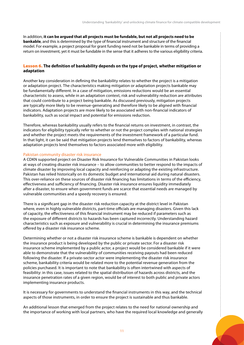<span id="page-12-0"></span>In addition, **it can be argued that all projects must be fundable, but not all projects need to be bankable**, and this is determined by the type of financial instrument and structure of the financial model. For example, a project proposal for grant funding need not be bankable in terms of providing a return on investment, yet it must be fundable in the sense that it adheres to the various eligibility criteria.

#### Lesson 6. **The definition of bankability depends on the type of project, whether mitigation or adaptation**

Another key consideration in defining the bankability relates to whether the project is a mitigation or adaptation project. The characteristics making mitigation or adaptation projects bankable may be fundamentally different. In a case of mitigation, emissions reductions would be an essential characteristic to assess, while in an adaptation context, risk and vulnerability reduction are attributes that could contribute to a project being bankable. As discussed previously, mitigation projects are typically more likely to be revenue-generating and therefore likely to be aligned with financial indicators. Adaptation projects are more likely to be associated with non-financial indicators of bankability, such as social impact and potential for emissions reduction.

Therefore, whereas bankability usually refers to the financial returns on investment, in contrast, the indicators for eligibility typically refer to whether or not the project complies with national strategies and whether the project meets the requirements of the investment framework of a particular fund. In that light, it can be said that mitigation projects lend themselves to factors of bankability, whereas adaptation projects lend themselves to factors associated more with eligibility.

#### Pakistan community disaster risk insurance

A CDKN supported project on Disaster Risk Insurance for Vulnerable Communities in Pakistan looks at ways of creating disaster risk insurance – to allow communities to better respond to the impacts of climate disaster by improving local capacity and reinforcing or adapting the existing infrastructure. Pakistan has relied historically on its domestic budget and international aid during natural disasters. This over-reliance on these sources of disaster risk financing has limitations in terms of the efficiency, effectiveness and sufficiency of financing. Disaster risk insurance ensures liquidity immediately after a disaster, to ensure when government funds are scarce that essential needs are managed by vulnerable communities and a speedy recovery is ensured.

There is a significant gap in the disaster risk reduction capacity at the district level in Pakistan where, even in highly vulnerable districts, part-time officials are managing disasters. Given this lack of capacity, the effectiveness of this financial instrument may be reduced if parameters such as the exposure of different districts to hazards has been captured incorrectly. Understanding hazard characteristics such as exposure and vulnerability is crucial in determining the insurance premiums offered by a disaster risk insurance scheme.

Determining whether or not a disaster risk insurance scheme is bankable is dependent on whether the insurance product is being developed by the public or private sector. For a disaster risk insurance scheme implemented by a public actor, a project would be considered bankable if it were able to demonstrate that the vulnerability of communities receiving payouts had been reduced following the disaster. If a private-sector actor were implementing the disaster risk insurance scheme, bankability criteria would be related more to the potential revenue generation from the policies purchased. It is important to note that bankability is often intertwined with aspects of feasibility: in this case, issues related to the spatial distribution of hazards across districts, and the insurance penetration rates of a given region, would be of interest to both public and private actors implementing insurance products.

It is necessary for governments to understand the financial instruments in this way, and the technical aspects of those instruments, in order to ensure the project is sustainable and thus bankable.

An additional lesson that emerged from the project relates to the need for national ownership and the importance of working with local partners, who have the required local knowledge and generally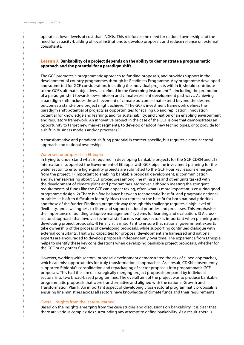$\vdots$ 

<span id="page-13-0"></span>operate at lower levels of cost than INGOs. This reinforces the need for national ownership and the need for capacity-building of local institutions to develop proposals and reduce reliance on external consultants.

#### Lesson 7. **Bankability of a project depends on the ability to demonstrate a programmatic approach and the potential for a paradigm shift**

The GCF promotes a programmatic approach to funding proposals, and provides support in the development of country programmes through its Readiness Programme. Any programme developed and submitted for GCF consideration, including the individual projects within it, should contribute to the GCF's ultimate objectives, as defined in the Governing Instrument<sup>19</sup> – including the promotion of a paradigm shift towards low-emission and climate-resilient development pathways. Achieving a paradigm shift includes the achievement of climate outcomes that extend beyond the desired outcomes a stand-alone project might achieve.20 The GCF's investment framework defines the paradigm shift potential of projects as opportunities for scaling up and replication; innovation; potential for knowledge and learning, and for sustainability; and creation of an enabling environment and regulatory framework. An innovative project in the case of the GCF is one that demonstrates an opportunity to target new market segments, to develop or adopt new technologies, or to provide for a shift in business models and/or processes.<sup>21</sup>

A transformative and paradigm-shifting potential is context-specific, but requires a cross-sectoral approach and national ownership.

#### Water sector proposals in Ethiopia

In trying to understand what is required in developing bankable projects for the GCF, CDKN and LTS International supported the Government of Ethiopia with GCF pipeline investment planning for the water sector, to ensure high-quality projects are submitted to the GCF. Four key lessons emerged from the project. 1) Important to enabling bankable proposal development, is communication and awareness-raising about GCF procedures among line ministries and other units tasked with the development of climate plans and programmes. Moreover, although meeting the stringent requirements of funds like the GCF can appear taxing, often what is more important is ensuring good programme design. 2) There is a fine balance between technocratic 'best fit' and pragmatic national priorities. It is often difficult to identify ideas that represent the best fit for both national priorities and those of the funder. Finding a pragmatic way through this challenge requires a high level of flexibility, and a willingness to listen and support national priorities and processes. This emphasises the importance of building 'adaptive management' systems for learning and evaluation. 3) A crosssectoral approach that involves technical staff across various sectors is important when planning and developing project proposals. 4) Finally, it is important to ensure that national government experts take ownership of the process of developing proposals, while supporting continued dialogue with external consultants. That way, capacities for proposal development are harnessed and national experts are encouraged to develop proposals independently over time. The experience from Ethiopia helps to identify these key considerations when developing bankable project proposals, whether for the GCF or any other fund.

However, working with sectoral proposal development demonstrated the risk of siloed approaches, which can miss opportunities for truly transformational approaches. As a result, CDKN subsequently supported Ethiopia's consolidation and repackaging of sector proposals into programmatic GCF proposals. This had the aim of strategically merging project proposals prepared by individual sectors, into two broad-based programmes. The overall aim of the project was to produce bankable programmatic proposals that were transformative and aligned with the national Growth and Transformation Plan II. An important aspect of developing cross-sectoral programmatic proposals is ensuring line ministries across all sectors have knowledge of climate funds and their requirements.

#### Overall insights from the lessons learned

Based on the insights emerging from the case studies and discussions on bankability, it is clear that there are various complexities surrounding any attempt to define bankability. As a result. there is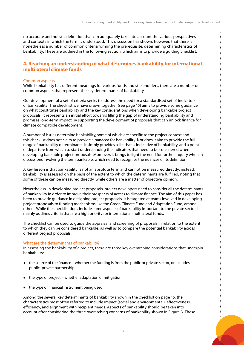<span id="page-14-0"></span>no accurate and holistic definition that can adequately take into account the various perspectives and contexts in which the term is understood. This discussion has shown, however, that there is nonetheless a number of common criteria forming the prerequisite, determining characteristics of bankability. These are outlined in the following section, which aims to provide a guiding checklist.

#### **4. Reaching an understanding of what determines bankability for international multilateral climate funds**

#### Common aspects

While bankability has different meanings for various funds and stakeholders, there are a number of common aspects that represent the key determinants of bankability.

Our development of a set of criteria seeks to address the need for a standardised set of indicators of bankability. The checklist we have drawn together (see page 15) aims to provide some guidance on what constitutes bankability and the key considerations when developing bankable project proposals. It represents an initial effort towards filling the gap of understanding bankability and promises long-term impact by supporting the development of proposals that can unlock finance for climate compatible development.

A number of issues determine bankability, some of which are specific to the project context and this checklist does not claim to provide a panacea for bankability. Nor does it aim to provide the full range of bankability determinants. It simply provides a list that is indicative of bankability, and a point of departure from which to start understanding the indicators that need to be considered when developing bankable project proposals. Moreover, it brings to light the need for further inquiry when in discussions involving the term bankable, which need to recognise the nuances of its definition.

A key lesson is that bankability is not an absolute term and cannot be measured directly; instead, bankability is assessed on the basis of the extent to which the determinants are fulfilled, noting that some of these can be measured directly, while others are a matter of objective opinion.

Nevertheless, in developing project proposals, project developers need to consider all the determinants of bankability in order to improve their prospects of access to climate finance. The aim of this paper has been to provide guidance in designing project proposals. It is targeted at teams involved in developing project proposals to funding mechanisms like the Green Climate Fund and Adaptation Fund, among others. While the checklist does include some aspects of bankability important to the private sector, it mainly outlines criteria that are a high priority for international multilateral funds.

The checklist can be used to guide the appraisal and screening of proposals in relation to the extent to which they can be considered bankable, as well as to compare the potential bankability across different project proposals.

#### What are the determinants of bankability?

In assessing the bankability of a project, there are three key overarching considerations that underpin bankability:

- the source of the finance whether the funding is from the public or private sector, or includes a public–private partnership
- the type of project whether adaptation or mitigation
- the type of financial instrument being used.

Among the several key determinants of bankability shown in the checklist on page 15, the characteristics most often referred to include impact (social and environmental), effectiveness, efficiency, and alignment with recipient needs. Aspects of bankability should be taken into account after considering the three overarching concerns of bankability shown in Figure 3. These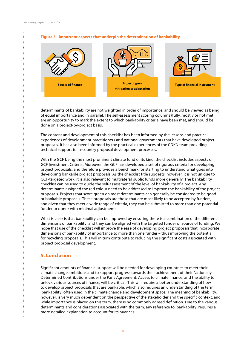

#### <span id="page-15-0"></span>**Figure 3. Important aspects that underpin the determination of bankability**

determinants of bankability are not weighted in order of importance, and should be viewed as being of equal importance and in parallel. The self-assessment scoring columns (fully, mostly or not met) are an opportunity to mark the extent to which bankability criteria have been met, and should be done on a project-by-project basis.

The content and development of this checklist has been informed by the lessons and practical experiences of development practitioners and national governments that have developed project proposals. It has also been informed by the practical experiences of the CDKN team providing technical support to in-country proposal development processes.

With the GCF being the most prominent climate fund of its kind, the checklist includes aspects of GCF Investment Criteria. Moreover, the GCF has developed a set of rigorous criteria for developing project proposals, and therefore provides a benchmark for starting to understand what goes into developing bankable project proposals. As the checklist title suggests, however, it is not unique to GCF-targeted work; it is also relevant to multilateral public funds more generally. The bankability checklist can be used to guide the self-assessment of the level of bankability of a project. Any determinants assigned the red colour need to be addressed to improve the bankability of the project proposals. Projects that score green on most determinants can generally be considered to be good or bankable proposals. These proposals are those that are most likely to be accepted by funders, and given that they meet a wide range of criteria, they can be submitted to more than one potential funder or donor with minimal adjustments.

What is clear is that bankability can be improved by ensuring there is a combination of the different dimensions of bankability: and they can be aligned with the targeted funder or source of funding. We hope that use of the checklist will improve the ease of developing project proposals that incorporate dimensions of bankability of importance to more than one funder – thus improving the potential for recycling proposals. This will in turn contribute to reducing the significant costs associated with project proposal development.

#### **5. Conclusion**

÷

Significant amounts of financial support will be needed for developing countries to meet their climate change ambitions and to support progress towards their achievement of their Nationally Determined Contributions under the Paris Agreement. Access to climate finance, and the ability to unlock various sources of finance, will be critical. This will require a better understanding of how to develop project proposals that are bankable, which also requires an understanding of the term 'bankability' often used in the climate change and development space. The meaning of bankability, however, is very much dependent on the perspective of the stakeholder and the specific context, and while importance is placed on this term, there is no commonly agreed definition. Due to the various determinants and considerations associated with the term, any reference to 'bankability' requires a more detailed explanation to account for its nuances.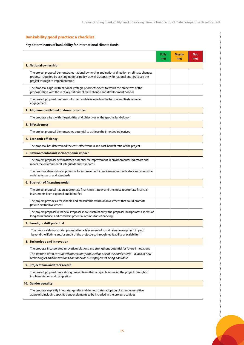#### **Bankability good practice: a checklist**

#### **Key determinants of bankability for international climate funds**

|                                                                                                                                                                                                                                                                                     | <b>Fully</b><br>met | <b>Mostly</b><br>met | <b>Not</b><br>met |  |  |  |  |
|-------------------------------------------------------------------------------------------------------------------------------------------------------------------------------------------------------------------------------------------------------------------------------------|---------------------|----------------------|-------------------|--|--|--|--|
| 1. National ownership                                                                                                                                                                                                                                                               |                     |                      |                   |  |  |  |  |
| The project proposal demonstrates national ownership and national direction on climate change:<br>proposal is guided by existing national policy, as well as capacity for national entities to see the<br>project through to implementation                                         |                     |                      |                   |  |  |  |  |
| The proposal aligns with national strategic priorities: extent to which the objectives of the<br>proposal align with those of key national climate change and development policies                                                                                                  |                     |                      |                   |  |  |  |  |
| The project proposal has been informed and developed on the basis of multi-stakeholder<br>engagement                                                                                                                                                                                |                     |                      |                   |  |  |  |  |
| 2. Alignment with fund or donor priorities                                                                                                                                                                                                                                          |                     |                      |                   |  |  |  |  |
| The proposal aligns with the priorities and objectives of the specific fund/donor                                                                                                                                                                                                   |                     |                      |                   |  |  |  |  |
| 3. Effectiveness                                                                                                                                                                                                                                                                    |                     |                      |                   |  |  |  |  |
| The project proposal demonstrates potential to achieve the intended objectives                                                                                                                                                                                                      |                     |                      |                   |  |  |  |  |
| 4. Economic efficiency                                                                                                                                                                                                                                                              |                     |                      |                   |  |  |  |  |
| The proposal has determined the cost-effectiveness and cost-benefit ratio of the project                                                                                                                                                                                            |                     |                      |                   |  |  |  |  |
| 5. Environmental and socioeconomic impact                                                                                                                                                                                                                                           |                     |                      |                   |  |  |  |  |
| The project proposal demonstrates potential for improvement in environmental indicators and<br>meets the environmental safeguards and standards                                                                                                                                     |                     |                      |                   |  |  |  |  |
| The proposal demonstrates potential for improvement in socioeconomic indicators and meets the<br>social safeguards and standards                                                                                                                                                    |                     |                      |                   |  |  |  |  |
| 6. Strength of financing model                                                                                                                                                                                                                                                      |                     |                      |                   |  |  |  |  |
| The project proposal has an appropriate financing strategy and the most appropriate financial<br>instruments been explored and identified                                                                                                                                           |                     |                      |                   |  |  |  |  |
| The project provides a reasonable and measurable return on investment that could promote<br>private-sector investment                                                                                                                                                               |                     |                      |                   |  |  |  |  |
| The project proposal's Financial Proposal shows sustainability: the proposal incorporates aspects of<br>long-term finance, and considers potential options for refinancing                                                                                                          |                     |                      |                   |  |  |  |  |
| 7. Paradigm shift potential                                                                                                                                                                                                                                                         |                     |                      |                   |  |  |  |  |
| The proposal demonstrates potential for achievement of sustainable development impact<br>beyond the lifetime and/or ambit of the project e.g. through replicability or scalability <sup>22</sup>                                                                                    |                     |                      |                   |  |  |  |  |
| 8. Technology and innovation                                                                                                                                                                                                                                                        |                     |                      |                   |  |  |  |  |
| The proposal incorporates innovative solutions and strengthens potential for future innovations<br>This factor is often considered but certainly not used as one of the hard criteria - a lack of new<br>technologies and innovations does not rule out a project as being bankable |                     |                      |                   |  |  |  |  |
| 9. Project team and track record                                                                                                                                                                                                                                                    |                     |                      |                   |  |  |  |  |
| The project proposal has a strong project team that is capable of seeing the project through to<br>implementation and completion                                                                                                                                                    |                     |                      |                   |  |  |  |  |
| 10. Gender equality                                                                                                                                                                                                                                                                 |                     |                      |                   |  |  |  |  |
| The proposal explicitly integrates gender and demonstrates adoption of a gender-sensitive<br>approach, including specific gender elements to be included in the project activities                                                                                                  |                     |                      |                   |  |  |  |  |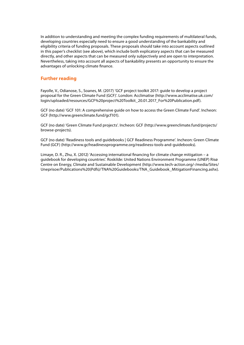<span id="page-17-0"></span>In addition to understanding and meeting the complex funding requirements of multilateral funds, developing countries especially need to ensure a good understanding of the bankability and eligibility criteria of funding proposals. These proposals should take into account aspects outlined in this paper's checklist (see above), which include both explicatory aspects that can be measured directly, and other aspects that can be measured only subjectively and are open to interpretation. Nevertheless, taking into account all aspects of bankability presents an opportunity to ensure the advantages of unlocking climate finance.

#### **Further reading**

Fayolle, V., Odianose, S., Soanes, M. (2017) 'GCF project toolkit 2017: guide to develop a project proposal for the Green Climate Fund (GCF)'. London: Acclimatise (http://www.acclimatise.uk.com/ login/uploaded/resources/GCF%20project%20Toolkit\_20.01.2017\_For%20Publication.pdf).

GCF (no date) 'GCF 101: A comprehensive guide on how to access the Green Climate Fund'. Incheon: GCF (http://www.greenclimate.fund/gcf101).

GCF (no date) 'Green Climate Fund projects'. Incheon: GCF (http://www.greenclimate.fund/projects/ browse-projects).

GCF (no date) 'Readiness tools and guidebooks | GCF Readiness Programme'. Incheon: Green Climate Fund (GCF) (http://www.gcfreadinessprogramme.org/readiness-tools-and-guidebooks).

Limaye, D. R., Zhu, X. (2012) 'Accessing international financing for climate change mitigation – a guidebook for developing countries'. Roskilde: United Nations Environment Programme (UNEP) Risø Centre on Energy, Climate and Sustainable Development ([http://www.tech-action.org/-/media/Sites/](http://www.tech-action.org/-/media/Sites/Uneprisoe/Publications%20(Pdfs)/TNA%20Guidebooks/TNA_Guidebook_MitigationFinancing.ashx) [Uneprisoe/Publications%20\(Pdfs\)/TNA%20Guidebooks/TNA\\_Guidebook\\_MitigationFinancing.ashx](http://www.tech-action.org/-/media/Sites/Uneprisoe/Publications%20(Pdfs)/TNA%20Guidebooks/TNA_Guidebook_MitigationFinancing.ashx)).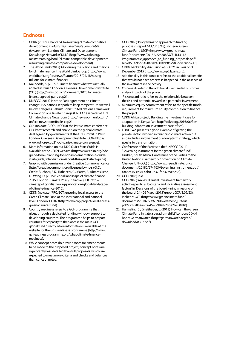#### <span id="page-18-0"></span>**Endnotes**

- 1. CDKN (2017). 'Chapter 4: Resourcing climate compatible development' in *Mainstreaming climate compatible development*. London: Climate and Development Knowledge Network (CDKN) (http://www.cdkn.org/ mainstreaming/book/climate-compatible-development/ resourcing-climate-compatible-development).
- 2. The World Bank (2015) 'Mobilizing the billions and trillions for climate finance'. The World Bank Group (http://www. worldbank.org/en/news/feature/2015/04/18/raisingtrillions-for-climate-finance).
- 3. Nakhooda, S. (2015) 'Climate finance: what was actually agreed in Paris?'. London: Overseas Development Institute (ODI) (http://www.odi.org/comment/10201-climatefinance-agreed-paris-cop21).
- 4. UNFCCC (2015) 'Historic Paris agreement on climate change: 195 nations set path to keep temperature rise well below 2 degrees Celsius'. Bonn: United Nations Framework Convention on Climate Change (UNFCCC) secretariat, UN Climate Change Newsroom (http://newsroom.unfccc.int/ unfccc-newsroom/finale-cop21).
- 5. ODI (no date) 'COP21: ODI at the Paris climate conference: Our latest research and analysis on the global climate deal agreed by governments at the UN summit in Paris'. London: Overseas Development Institute (ODI) (http:// www.odi.org/cop21-odi-paris-climate-conference).
- 6. More information on our NDC Quick Start Guide is available at the CDKN website (http://www.cdkn.org/ndcguide/book/planning-for-ndc-implementation-a-quickstart-guide/introduction/#about-this-quick-start-guide).
- 7. Graphic with permission under Creative Commons licence (http://creativecommons.org/licenses/by-nc-sa/3.0). Credit: Buchner, B.K., Trabacchi, C., Mazza, F., Abramskiehn, D., Wang, D. (2015) 'Global landscape of climate finance 2015'. London: Climate Policy Initiative (CPI) (http:// climatepolicyinitiative.org/publication/global-landscapeof-climate-finance-2015).
- 8. CDKN (no date) 'PROJECT: ensuring local access to the Green Climate Fund at the international and national level'. London: CDKN (http://cdkn.org/project/local-accessgreen-climate-fund).
- 9. Country readiness refers to a GCF programme that gives, through a dedicated funding window, support to developing countries. The programme helps to prepare countries for capacity to then access the main GCF global fund directly. More information is available at the website for the GCF readiness programme (http://www. gcfreadinessprogramme.org/what-climate-financereadiness).
- 10. While concept notes do provide room for amendments to be made to the proposed project, concept notes are significantly less detailed than full proposals, which are expected to meet more criteria and checks and balances than concept notes.
- 11. GCF (2016) 'Programmatic approach to funding proposals' (report GCF/B.13/18). Incheon: Green Climate Fund (GCF) (http://www.greenclimate. fund/documents/20182/226888/GCF\_B.13\_18\_-\_ Programmatic\_approach\_to\_funding\_proposals.pdf/ b97ef633-96c7-490f-84bf-304bb852980c?version=1.0).
- 12. CDKN bankability discussion at COP 21 in Paris on 3 December 2015 (http://www.cop21paris.org).
- 13. Additionality in this context refers to the additional benefits that would not have otherwise happened in the absence of the investment in the activity.
- 14. Co-benefits refer to the additional, unintended outcomes and/or impacts of the project.
- 15. Risk/reward ratio refers to the relationship between the risk and potential reward in a particular investment.
- 16. Minimum equity commitment refers to the specific fund's requirement for minimum equity contribution to finance the project.
- 17. CDKN Africa project, 'Building the investment case for adaptation in Kenya' (see http://cdkn.org/2016/06/filmbuilding-adaptation-investment-case-africa).
- 18. FONERWA presents a good example of getting the private sector involved in financing climate action but also includes involvement of a long-term strategy, which speaks to transformation.
- 19. Conference of the Parties to the UNFCCC (2011) 'Governing instrument for the green climate fund'. Durban, South Africa: Conference of the Parties to the United Nations Framework Convention on Climate Change (UNFCCC) (http://www.greenclimate.fund/ documents/20182/574763/Governing\_Instrument.pdf/ caa6ce45-cd54-4ab0-9e37-fb637a9c6235).
- 20. GCF (2016) ibid.
- 21. GCF (2016) 'Annex III: Initial investment framework: activity-specific sub-criteria and indicative assessment factors' in 'Decisions of the board – ninth meeting of the board, 24 - 26 March 2015' (report GCF/B.09/23). Incheon: GCF (http://www.greenclimate.fund/ documents/20182/239759/Investment\_Criteria. pdf/771ca88e-6cf2-469d-98e8-78be2b980940).
- 22. Harmeling, S., Grießhaber, L. (2013) 'How can the Green Climate Fund initiate a paradigm shift?' London: CDKN; Bonn: Germanwatch (http://germanwatch.org/en/ download/8382.pdf).